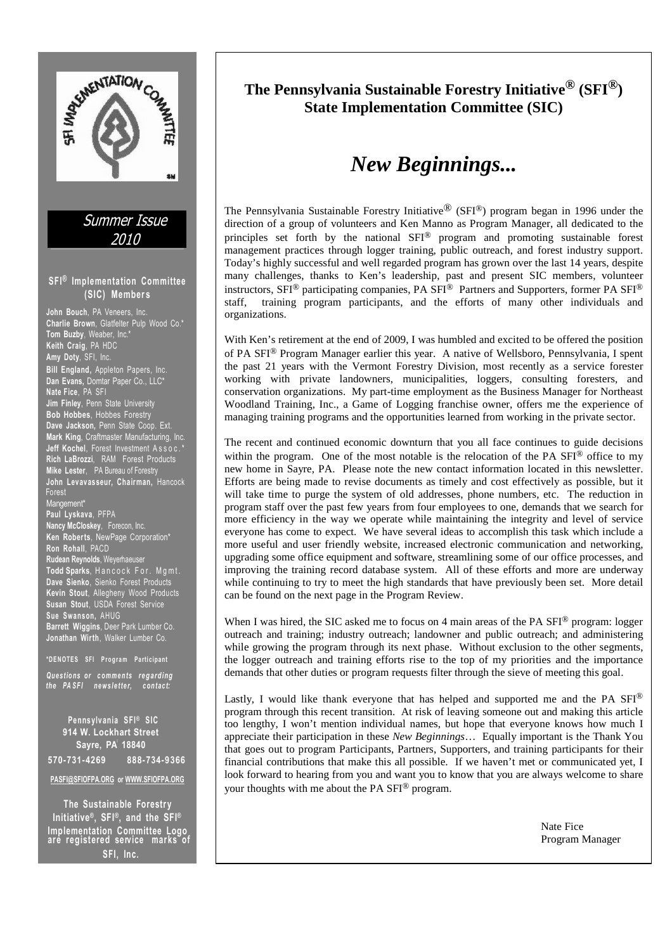

# **The Pennsylvania Sustainable Forestry Initiative® (SFI®) State Implementation Committee (SIC)**

# *New Beginnings...*

The Pennsylvania Sustainable Forestry Initiative<sup>®</sup> (SFI<sup>®</sup>) program began in 1996 under the direction of a group of volunteers and Ken Manno as Program Manager, all dedicated to the principles set forth by the national SFI® program and promoting sustainable forest management practices through logger training, public outreach, and forest industry support. Today's highly successful and well regarded program has grown over the last 14 years, despite many challenges, thanks to Ken's leadership, past and present SIC members, volunteer instructors, SFI<sup>®</sup> participating companies, PA SFI<sup>®</sup> Partners and Supporters, former PA SFI<sup>®</sup> staff, training program participants, and the efforts of many other individuals and organizations.

With Ken's retirement at the end of 2009, I was humbled and excited to be offered the position of PA SFI® Program Manager earlier this year. A native of Wellsboro, Pennsylvania, I spent the past 21 years with the Vermont Forestry Division, most recently as a service forester working with private landowners, municipalities, loggers, consulting foresters, and conservation organizations. My part-time employment as the Business Manager for Northeast Woodland Training, Inc., a Game of Logging franchise owner, offers me the experience of managing training programs and the opportunities learned from working in the private sector.

The recent and continued economic downturn that you all face continues to guide decisions within the program. One of the most notable is the relocation of the PA SFI<sup>®</sup> office to my new home in Sayre, PA. Please note the new contact information located in this newsletter. Efforts are being made to revise documents as timely and cost effectively as possible, but it will take time to purge the system of old addresses, phone numbers, etc. The reduction in program staff over the past few years from four employees to one, demands that we search for more efficiency in the way we operate while maintaining the integrity and level of service everyone has come to expect. We have several ideas to accomplish this task which include a more useful and user friendly website, increased electronic communication and networking, upgrading some office equipment and software, streamlining some of our office processes, and improving the training record database system. All of these efforts and more are underway while continuing to try to meet the high standards that have previously been set. More detail can be found on the next page in the Program Review.

When I was hired, the SIC asked me to focus on 4 main areas of the PA SFI<sup>®</sup> program: logger outreach and training; industry outreach; landowner and public outreach; and administering while growing the program through its next phase. Without exclusion to the other segments, the logger outreach and training efforts rise to the top of my priorities and the importance demands that other duties or program requests filter through the sieve of meeting this goal.

Lastly, I would like thank everyone that has helped and supported me and the PA SFI® program through this recent transition. At risk of leaving someone out and making this article too lengthy, I won't mention individual names, but hope that everyone knows how much I appreciate their participation in these *New Beginnings*… Equally important is the Thank You that goes out to program Participants, Partners, Supporters, and training participants for their financial contributions that make this all possible. If we haven't met or communicated yet, I look forward to hearing from you and want you to know that you are always welcome to share your thoughts with me about the PA SFI® program.

Nate Fice Program Manager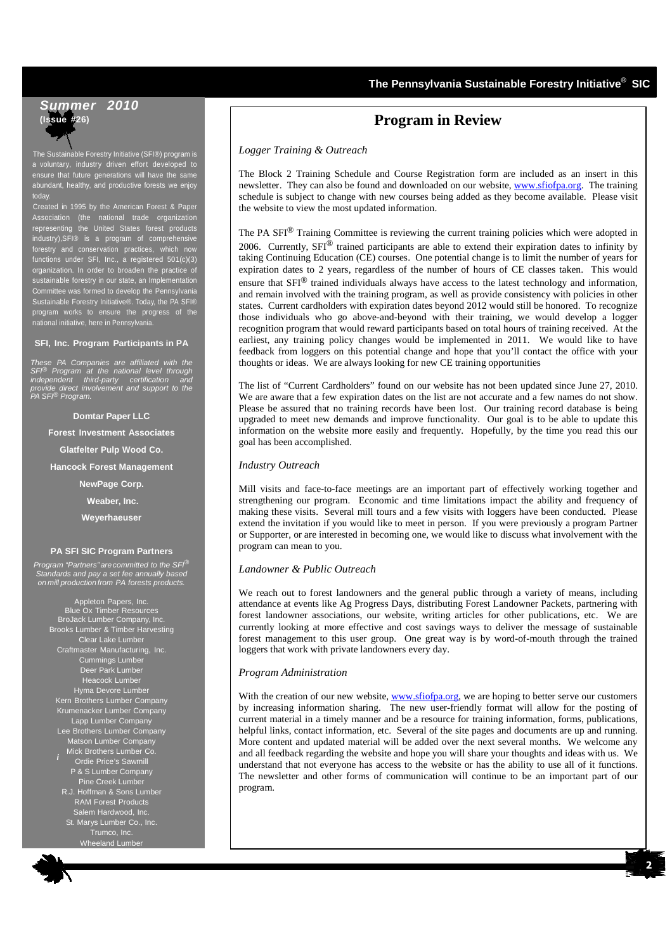## **The Pennsylvania Sustainable Forestry Initiative® SIC**

# **Summer 2010 (Issue #26)**

The Sustainable Forestry Initiative (SFI®) program is a voluntary, industry driven effort developed to ensure that future generations will have the same abundant, healthy, and productive forests we enjoy today.

Created in 1995 by the American Forest & Paper Association (the national trade organization representing the United States forest products industry),SFI® is a program of comprehensive forestry and conservation practices, which now functions under SFI, Inc., a registered 501(c)(3) organization. In order to broaden the practice of sustainable forestry in our state, an Implementation Committee was formed to develop the Pennsylvania Sustainable Forestry Initiative®. Today, the PA SFI® program works to ensure the progress of the national initiative, here in Pennsylvania.

#### **SFI, Inc. Program Participants in PA**

These PA Companies are affiliated with the SFI® Program at the national level through independent third-party certification and provide direct involvement and support to the PA SFI® Program.

**Domtar Paper LLC Forest Investment Associates Glatfelter Pulp Wood Co. Hancock Forest Management NewPage Corp. Weaber, Inc. Weyerhaeuser** 

#### **PA SFI SIC Program Partners**

Program "Partners" are committed to the SFI®<br>Standards and pay a set fee annually based<br>on mill production from PA forests products.

*i* Appleton Papers, Inc. Blue Ox Timber Resources BroJack Lumber Company, Inc. Brooks Lumber & Timber Harvesting Clear Lake Lumber Craftmaster Manufacturing, Inc. Cummings Lumber Deer Park Lumber Heacock Lumber Hyma Devore Lumber Kern Brothers Lumber Company Krumenacker Lumber Company Lapp Lumber Company Lee Brothers Lumber Company on Lumber Company Mick Brothers Lumber Co. Ordie Price's Sawmill P & S Lumber Company Pine Creek Lumber R.J. Hoffman & Sons Lumber RAM Forest Products Salem Hardwood, Inc. St. Marys Lumber Co., Inc.

Wheeland Lumber

# **Program in Review**

*Logger Training & Outreach*

The Block 2 Training Schedule and Course Registration form are included as an insert in this newsletter. They can also be found and downloaded on our website, www.sfiofpa.org. The training schedule is subject to change with new courses being added as they become available. Please visit the website to view the most updated information.

The PA SFI<sup>®</sup> Training Committee is reviewing the current training policies which were adopted in 2006. Currently, SFI<sup>®</sup> trained participants are able to extend their expiration dates to infinity by taking Continuing Education (CE) courses. One potential change is to limit the number of years for expiration dates to 2 years, regardless of the number of hours of CE classes taken. This would ensure that SFI® trained individuals always have access to the latest technology and information, and remain involved with the training program, as well as provide consistency with policies in other states. Current cardholders with expiration dates beyond 2012 would still be honored. To recognize those individuals who go above-and-beyond with their training, we would develop a logger recognition program that would reward participants based on total hours of training received. At the earliest, any training policy changes would be implemented in 2011. We would like to have feedback from loggers on this potential change and hope that you'll contact the office with your thoughts or ideas. We are always looking for new CE training opportunities

The list of "Current Cardholders" found on our website has not been updated since June 27, 2010. We are aware that a few expiration dates on the list are not accurate and a few names do not show. Please be assured that no training records have been lost. Our training record database is being upgraded to meet new demands and improve functionality. Our goal is to be able to update this information on the website more easily and frequently. Hopefully, by the time you read this our goal has been accomplished.

### *Industry Outreach*

Mill visits and face-to-face meetings are an important part of effectively working together and strengthening our program. Economic and time limitations impact the ability and frequency of making these visits. Several mill tours and a few visits with loggers have been conducted. Please extend the invitation if you would like to meet in person. If you were previously a program Partner or Supporter, or are interested in becoming one, we would like to discuss what involvement with the program can mean to you.

### *Landowner & Public Outreach*

We reach out to forest landowners and the general public through a variety of means, including attendance at events like Ag Progress Days, distributing Forest Landowner Packets, partnering with forest landowner associations, our website, writing articles for other publications, etc. We are currently looking at more effective and cost savings ways to deliver the message of sustainable forest management to this user group. One great way is by word-of-mouth through the trained loggers that work with private landowners every day.

### *Program Administration*

With the creation of our new website, www.sfiofpa.org, we are hoping to better serve our customers by increasing information sharing. The new user-friendly format will allow for the posting of current material in a timely manner and be a resource for training information, forms, publications, helpful links, contact information, etc. Several of the site pages and documents are up and running. More content and updated material will be added over the next several months. We welcome any and all feedback regarding the website and hope you will share your thoughts and ideas with us. We understand that not everyone has access to the website or has the ability to use all of it functions. The newsletter and other forms of communication will continue to be an important part of our program.

**2**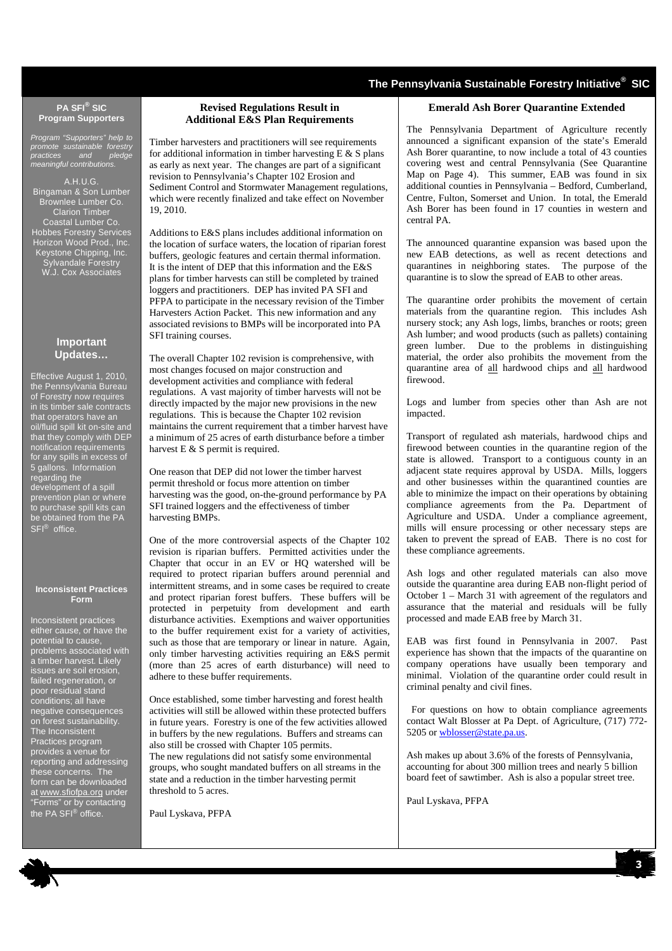# **The Pennsylvania Sustainable Forestry Initiative® SIC**

#### **PA SFI® SIC Program Supporters**

Program "Supporters" help to promote sustainable forestry practices and pledge meaningful contributions.

A.H.U.G. Bingaman & Son Lumber Brownlee Lumber Co. Clarion Timber Coastal Lumber Co. Hobbes Forestry Services Horizon Wood Prod., Inc. Keystone Chipping, Inc. Sylvandale Forestry W.J. Cox Associates

### **Important Updates…**

Effective August 1, 2010, the Pennsylvania Bureau of Forestry now requires in its timber sale contracts that operators have an oil/fluid spill kit on-site and that they comply with DEP notification requirements for any spills in excess of 5 gallons. Information regarding the development of a spill prevention plan or where to purchase spill kits can be obtained from the PA SFI® office.

#### **Inconsistent Practices Form**

Inconsistent practices either cause, or have the potential to cause, problems associated with a timber harvest. Likely issues are soil erosion, failed regeneration, or poor residual stand conditions; all have negative consequences on forest sustainability. The Inconsistent Practices program provides a venue for reporting and addressing these concerns. The form can be downloaded at www.sfiofpa.org under "Forms" or by contacting the PA SFI® office.

## **Revised Regulations Result in Additional E&S Plan Requirements**

Timber harvesters and practitioners will see requirements for additional information in timber harvesting  $E & S$  plans as early as next year. The changes are part of a significant revision to Pennsylvania's Chapter 102 Erosion and Sediment Control and Stormwater Management regulations, which were recently finalized and take effect on November 19, 2010.

Additions to E&S plans includes additional information on the location of surface waters, the location of riparian forest buffers, geologic features and certain thermal information. It is the intent of DEP that this information and the E&S plans for timber harvests can still be completed by trained loggers and practitioners. DEP has invited PA SFI and PFPA to participate in the necessary revision of the Timber Harvesters Action Packet. This new information and any associated revisions to BMPs will be incorporated into PA SFI training courses.

The overall Chapter 102 revision is comprehensive, with most changes focused on major construction and development activities and compliance with federal regulations. A vast majority of timber harvests will not be directly impacted by the major new provisions in the new regulations. This is because the Chapter 102 revision maintains the current requirement that a timber harvest have a minimum of 25 acres of earth disturbance before a timber harvest E & S permit is required.

One reason that DEP did not lower the timber harvest permit threshold or focus more attention on timber harvesting was the good, on-the-ground performance by PA SFI trained loggers and the effectiveness of timber harvesting BMPs.

One of the more controversial aspects of the Chapter 102 revision is riparian buffers. Permitted activities under the Chapter that occur in an EV or HQ watershed will be required to protect riparian buffers around perennial and intermittent streams, and in some cases be required to create and protect riparian forest buffers. These buffers will be protected in perpetuity from development and earth disturbance activities. Exemptions and waiver opportunities to the buffer requirement exist for a variety of activities, such as those that are temporary or linear in nature. Again, only timber harvesting activities requiring an E&S permit (more than 25 acres of earth disturbance) will need to adhere to these buffer requirements.

Once established, some timber harvesting and forest health activities will still be allowed within these protected buffers in future years. Forestry is one of the few activities allowed in buffers by the new regulations. Buffers and streams can also still be crossed with Chapter 105 permits. The new regulations did not satisfy some environmental

groups, who sought mandated buffers on all streams in the state and a reduction in the timber harvesting permit threshold to 5 acres.

Paul Lyskava, PFPA

#### **Emerald Ash Borer Quarantine Extended**

The Pennsylvania Department of Agriculture recently announced a significant expansion of the state's Emerald Ash Borer quarantine, to now include a total of 43 counties covering west and central Pennsylvania (See Quarantine Map on Page 4). This summer, EAB was found in six additional counties in Pennsylvania – Bedford, Cumberland, Centre, Fulton, Somerset and Union. In total, the Emerald Ash Borer has been found in 17 counties in western and central PA.

The announced quarantine expansion was based upon the new EAB detections, as well as recent detections and quarantines in neighboring states. The purpose of the quarantine is to slow the spread of EAB to other areas.

The quarantine order prohibits the movement of certain materials from the quarantine region. This includes Ash nursery stock; any Ash logs, limbs, branches or roots; green Ash lumber; and wood products (such as pallets) containing green lumber. Due to the problems in distinguishing material, the order also prohibits the movement from the quarantine area of all hardwood chips and all hardwood firewood.

Logs and lumber from species other than Ash are not impacted.

Transport of regulated ash materials, hardwood chips and firewood between counties in the quarantine region of the state is allowed. Transport to a contiguous county in an adjacent state requires approval by USDA. Mills, loggers and other businesses within the quarantined counties are able to minimize the impact on their operations by obtaining compliance agreements from the Pa. Department of Agriculture and USDA. Under a compliance agreement, mills will ensure processing or other necessary steps are taken to prevent the spread of EAB. There is no cost for these compliance agreements.

Ash logs and other regulated materials can also move outside the quarantine area during EAB non-flight period of October 1 – March 31 with agreement of the regulators and assurance that the material and residuals will be fully processed and made EAB free by March 31.

EAB was first found in Pennsylvania in 2007. Past experience has shown that the impacts of the quarantine on company operations have usually been temporary and minimal. Violation of the quarantine order could result in criminal penalty and civil fines.

 For questions on how to obtain compliance agreements contact Walt Blosser at Pa Dept. of Agriculture, (717) 772-5205 or wblosser@state.pa.us.

Ash makes up about 3.6% of the forests of Pennsylvania, accounting for about 300 million trees and nearly 5 billion board feet of sawtimber. Ash is also a popular street tree.

**3**

Paul Lyskava, PFPA